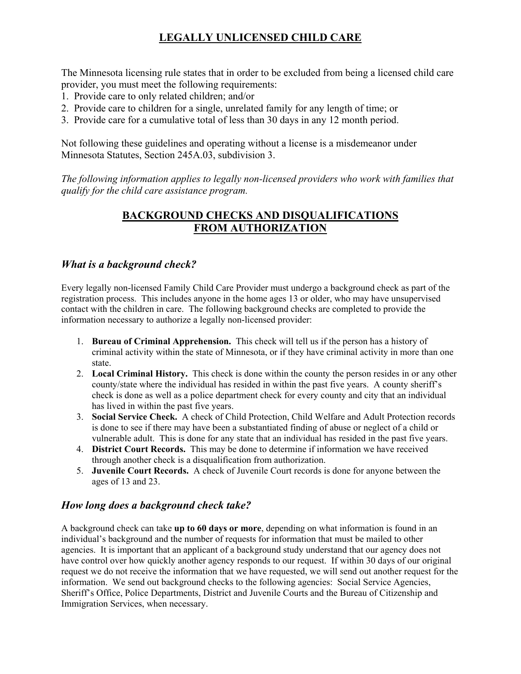# **LEGALLY UNLICENSED CHILD CARE**

The Minnesota licensing rule states that in order to be excluded from being a licensed child care provider, you must meet the following requirements:

- 1. Provide care to only related children; and/or
- 2. Provide care to children for a single, unrelated family for any length of time; or
- 3. Provide care for a cumulative total of less than 30 days in any 12 month period.

Not following these guidelines and operating without a license is a misdemeanor under Minnesota Statutes, Section 245A.03, subdivision 3.

*The following information applies to legally non-licensed providers who work with families that qualify for the child care assistance program.*

### **BACKGROUND CHECKS AND DISQUALIFICATIONS FROM AUTHORIZATION**

#### *What is a background check?*

Every legally non-licensed Family Child Care Provider must undergo a background check as part of the registration process. This includes anyone in the home ages 13 or older, who may have unsupervised contact with the children in care. The following background checks are completed to provide the information necessary to authorize a legally non-licensed provider:

- 1. **Bureau of Criminal Apprehension.** This check will tell us if the person has a history of criminal activity within the state of Minnesota, or if they have criminal activity in more than one state.
- 2. **Local Criminal History.** This check is done within the county the person resides in or any other county/state where the individual has resided in within the past five years. A county sheriff's check is done as well as a police department check for every county and city that an individual has lived in within the past five years.
- 3. **Social Service Check.** A check of Child Protection, Child Welfare and Adult Protection records is done to see if there may have been a substantiated finding of abuse or neglect of a child or vulnerable adult. This is done for any state that an individual has resided in the past five years.
- 4. **District Court Records.** This may be done to determine if information we have received through another check is a disqualification from authorization.
- 5. **Juvenile Court Records.** A check of Juvenile Court records is done for anyone between the ages of 13 and 23.

### *How long does a background check take?*

A background check can take **up to 60 days or more**, depending on what information is found in an individual's background and the number of requests for information that must be mailed to other agencies. It is important that an applicant of a background study understand that our agency does not have control over how quickly another agency responds to our request. If within 30 days of our original request we do not receive the information that we have requested, we will send out another request for the information. We send out background checks to the following agencies: Social Service Agencies, Sheriff's Office, Police Departments, District and Juvenile Courts and the Bureau of Citizenship and Immigration Services, when necessary.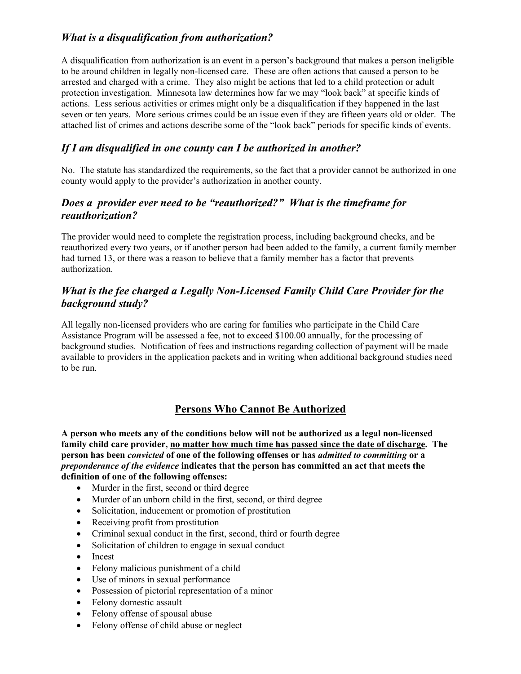# *What is a disqualification from authorization?*

A disqualification from authorization is an event in a person's background that makes a person ineligible to be around children in legally non-licensed care. These are often actions that caused a person to be arrested and charged with a crime. They also might be actions that led to a child protection or adult protection investigation. Minnesota law determines how far we may "look back" at specific kinds of actions. Less serious activities or crimes might only be a disqualification if they happened in the last seven or ten years. More serious crimes could be an issue even if they are fifteen years old or older. The attached list of crimes and actions describe some of the "look back" periods for specific kinds of events.

### *If I am disqualified in one county can I be authorized in another?*

No. The statute has standardized the requirements, so the fact that a provider cannot be authorized in one county would apply to the provider's authorization in another county.

#### *Does a provider ever need to be "reauthorized?" What is the timeframe for reauthorization?*

The provider would need to complete the registration process, including background checks, and be reauthorized every two years, or if another person had been added to the family, a current family member had turned 13, or there was a reason to believe that a family member has a factor that prevents authorization.

# *What is the fee charged a Legally Non-Licensed Family Child Care Provider for the background study?*

All legally non-licensed providers who are caring for families who participate in the Child Care Assistance Program will be assessed a fee, not to exceed \$100.00 annually, for the processing of background studies. Notification of fees and instructions regarding collection of payment will be made available to providers in the application packets and in writing when additional background studies need to be run.

### **Persons Who Cannot Be Authorized**

**A person who meets any of the conditions below will not be authorized as a legal non-licensed family child care provider, no matter how much time has passed since the date of discharge. The person has been** *convicted* **of one of the following offenses or has** *admitted to committing* **or a**  *preponderance of the evidence* **indicates that the person has committed an act that meets the definition of one of the following offenses:** 

- Murder in the first, second or third degree
- Murder of an unborn child in the first, second, or third degree
- Solicitation, inducement or promotion of prostitution
- Receiving profit from prostitution
- Criminal sexual conduct in the first, second, third or fourth degree
- Solicitation of children to engage in sexual conduct
- Incest
- Felony malicious punishment of a child
- Use of minors in sexual performance
- Possession of pictorial representation of a minor
- Felony domestic assault
- Felony offense of spousal abuse
- Felony offense of child abuse or neglect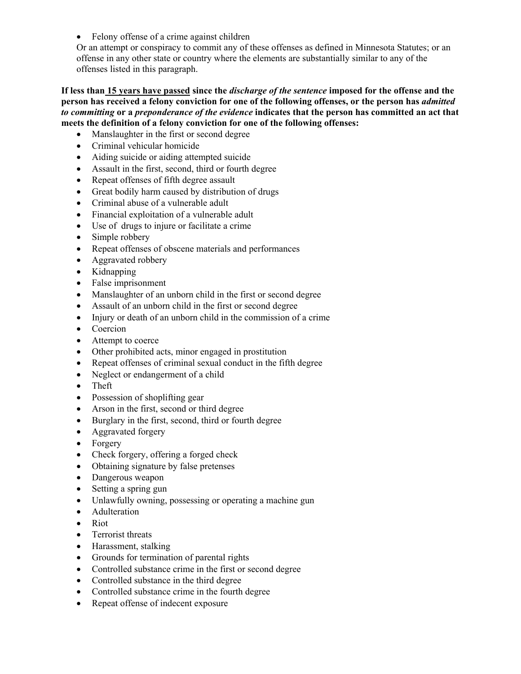• Felony offense of a crime against children

Or an attempt or conspiracy to commit any of these offenses as defined in Minnesota Statutes; or an offense in any other state or country where the elements are substantially similar to any of the offenses listed in this paragraph.

**If less than 15 years have passed since the** *discharge of the sentence* **imposed for the offense and the person has received a felony conviction for one of the following offenses, or the person has** *admitted to committing* **or a** *preponderance of the evidence* **indicates that the person has committed an act that meets the definition of a felony conviction for one of the following offenses:** 

- Manslaughter in the first or second degree
- Criminal vehicular homicide
- Aiding suicide or aiding attempted suicide
- Assault in the first, second, third or fourth degree
- Repeat offenses of fifth degree assault
- Great bodily harm caused by distribution of drugs
- Criminal abuse of a vulnerable adult
- Financial exploitation of a vulnerable adult
- Use of drugs to injure or facilitate a crime
- Simple robbery
- Repeat offenses of obscene materials and performances
- Aggravated robbery
- Kidnapping
- False imprisonment
- Manslaughter of an unborn child in the first or second degree
- Assault of an unborn child in the first or second degree
- Injury or death of an unborn child in the commission of a crime
- Coercion
- Attempt to coerce
- Other prohibited acts, minor engaged in prostitution
- Repeat offenses of criminal sexual conduct in the fifth degree
- Neglect or endangerment of a child
- Theft
- Possession of shoplifting gear
- Arson in the first, second or third degree
- Burglary in the first, second, third or fourth degree
- Aggravated forgery
- Forgery
- Check forgery, offering a forged check
- Obtaining signature by false pretenses
- Dangerous weapon
- Setting a spring gun
- Unlawfully owning, possessing or operating a machine gun
- Adulteration
- Riot
- Terrorist threats
- Harassment, stalking
- Grounds for termination of parental rights
- Controlled substance crime in the first or second degree
- Controlled substance in the third degree
- Controlled substance crime in the fourth degree
- Repeat offense of indecent exposure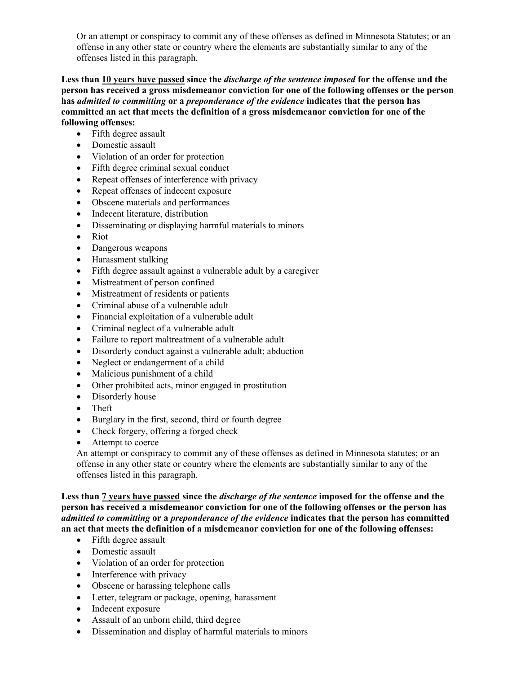Or an attempt or conspiracy to commit any of these offenses as defined in Minnesota Statutes; or an offense in any other state or country where the elements are substantially similar to any of the offenses listed in this paragraph.

**Less than 10 years have passed since the** *discharge of the sentence imposed* **for the offense and the person has received a gross misdemeanor conviction for one of the following offenses or the person has** *admitted to committing* **or a** *preponderance of the evidence* **indicates that the person has committed an act that meets the definition of a gross misdemeanor conviction for one of the following offenses:** 

- Fifth degree assault
- Domestic assault
- Violation of an order for protection
- Fifth degree criminal sexual conduct
- Repeat offenses of interference with privacy
- Repeat offenses of indecent exposure
- Obscene materials and performances
- Indecent literature, distribution
- Disseminating or displaying harmful materials to minors
- Riot
- Dangerous weapons
- Harassment stalking
- Fifth degree assault against a vulnerable adult by a caregiver
- Mistreatment of person confined
- Mistreatment of residents or patients
- Criminal abuse of a vulnerable adult
- Financial exploitation of a vulnerable adult
- Criminal neglect of a vulnerable adult
- Failure to report maltreatment of a vulnerable adult
- Disorderly conduct against a vulnerable adult; abduction
- Neglect or endangerment of a child
- Malicious punishment of a child
- Other prohibited acts, minor engaged in prostitution
- Disorderly house
- Theft
- Burglary in the first, second, third or fourth degree
- Check forgery, offering a forged check
- Attempt to coerce

An attempt or conspiracy to commit any of these offenses as defined in Minnesota statutes; or an offense in any other state or country where the elements are substantially similar to any of the offenses listed in this paragraph.

**Less than 7 years have passed since the** *discharge of the sentence* **imposed for the offense and the person has received a misdemeanor conviction for one of the following offenses or the person has**  *admitted to committing* **or a** *preponderance of the evidence* **indicates that the person has committed an act that meets the definition of a misdemeanor conviction for one of the following offenses:** 

- Fifth degree assault
- Domestic assault
- Violation of an order for protection
- Interference with privacy
- Obscene or harassing telephone calls
- Letter, telegram or package, opening, harassment
- Indecent exposure
- Assault of an unborn child, third degree
- Dissemination and display of harmful materials to minors